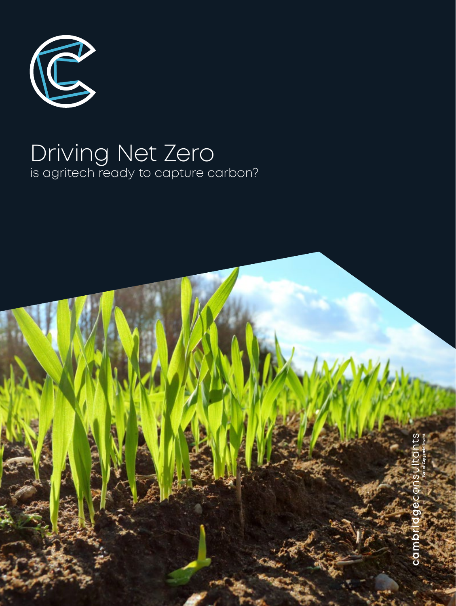

# Driving Net Zero is agritech ready to capture carbon?

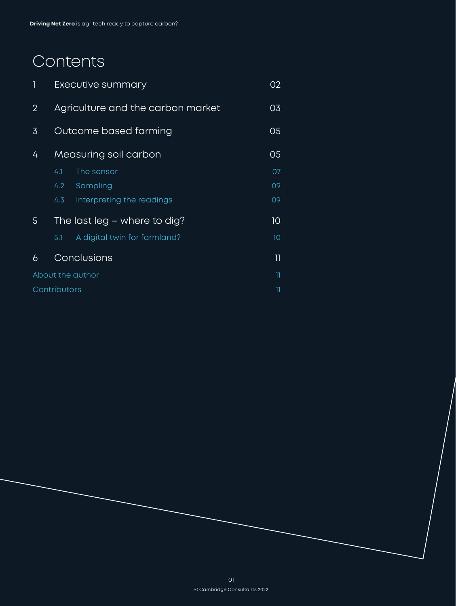# Contents

| 1                | Executive summary                 |                              | 02                       |  |
|------------------|-----------------------------------|------------------------------|--------------------------|--|
| $\overline{2}$   | Agriculture and the carbon market |                              | 03                       |  |
| 3                | Outcome based farming             |                              | 05                       |  |
| 4                | Measuring soil carbon             |                              | 05                       |  |
|                  | 4.1                               | The sensor                   | 07                       |  |
|                  | 4.2 <sub>1</sub>                  | Sampling                     | 09                       |  |
|                  | 4.3                               | Interpreting the readings    | 09                       |  |
| 5                | The last leg $-$ where to dig?    |                              | 10                       |  |
|                  | 5.1                               | A digital twin for farmland? | 10                       |  |
| 6                | Conclusions                       |                              | $\overline{\phantom{a}}$ |  |
| About the author |                                   |                              | וו                       |  |
| Contributors     |                                   |                              | 11                       |  |
|                  |                                   |                              |                          |  |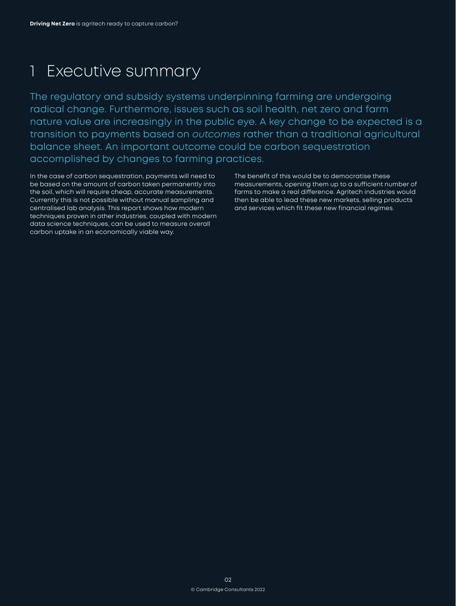# <span id="page-2-0"></span>1 Executive summary

The regulatory and subsidy systems underpinning farming are undergoing radical change. Furthermore, issues such as soil health, net zero and farm nature value are increasingly in the public eye. A key change to be expected is a transition to payments based on *outcomes* rather than a traditional agricultural balance sheet. An important outcome could be carbon sequestration accomplished by changes to farming practices.

In the case of carbon sequestration, payments will need to be based on the amount of carbon taken permanently into the soil, which will require cheap, accurate measurements. Currently this is not possible without manual sampling and centralised lab analysis. This report shows how modern techniques proven in other industries, coupled with modern data science techniques, can be used to measure overall carbon uptake in an economically viable way.

The benefit of this would be to democratise these measurements, opening them up to a sufficient number of farms to make a real difference. Agritech industries would then be able to lead these new markets, selling products and services which fit these new financial regimes.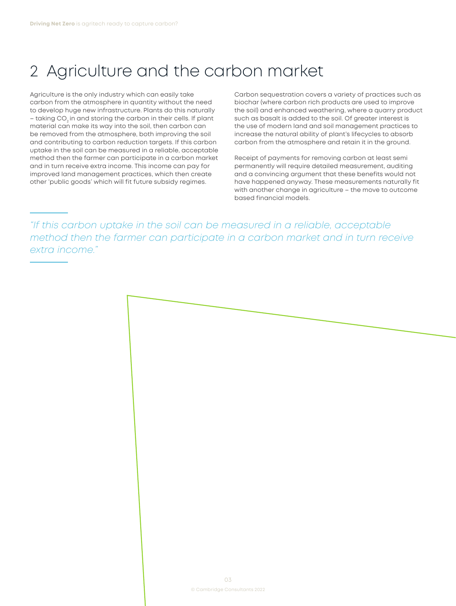## <span id="page-3-0"></span>2 Agriculture and the carbon market

Agriculture is the only industry which can easily take carbon from the atmosphere in quantity without the need to develop huge new infrastructure. Plants do this naturally – taking CO<sub>2</sub> in and storing the carbon in their cells. If plant material can make its way into the soil, then carbon can be removed from the atmosphere, both improving the soil and contributing to carbon reduction targets. If this carbon uptake in the soil can be measured in a reliable, acceptable method then the farmer can participate in a carbon market and in turn receive extra income. This income can pay for improved land management practices, which then create other 'public goods' which will fit future subsidy regimes.

Carbon sequestration covers a variety of practices such as biochar (where carbon rich products are used to improve the soil) and enhanced weathering, where a quarry product such as basalt is added to the soil. Of greater interest is the use of modern land and soil management practices to increase the natural ability of plant's lifecycles to absorb carbon from the atmosphere and retain it in the ground.

Receipt of payments for removing carbon at least semi permanently will require detailed measurement, auditing and a convincing argument that these benefits would not have happened anyway. These measurements naturally fit with another change in agriculture – the move to outcome based financial models.

*"If this carbon uptake in the soil can be measured in a reliable, acceptable method then the farmer can participate in a carbon market and in turn receive extra income."*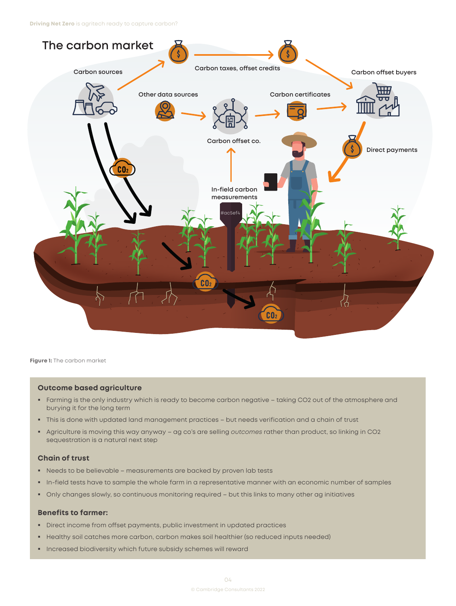

**Figure 1:** The carbon market

### **Outcome based agriculture**

- Farming is the only industry which is ready to become carbon negative taking CO2 out of the atmosphere and burying it for the long term
- This is done with updated land management practices but needs verification and a chain of trust
- Agriculture is moving this way anyway ag co's are selling *outcomes* rather than product, so linking in CO2 sequestration is a natural next step

### **Chain of trust**

- Needs to be believable measurements are backed by proven lab tests
- In-field tests have to sample the whole farm in a representative manner with an economic number of samples
- Only changes slowly, so continuous monitoring required but this links to many other ag initiatives

#### **Benefits to farmer:**

- Direct income from offset payments, public investment in updated practices
- Healthy soil catches more carbon, carbon makes soil healthier (so reduced inputs needed)
- **Increased biodiversity which future subsidy schemes will reward**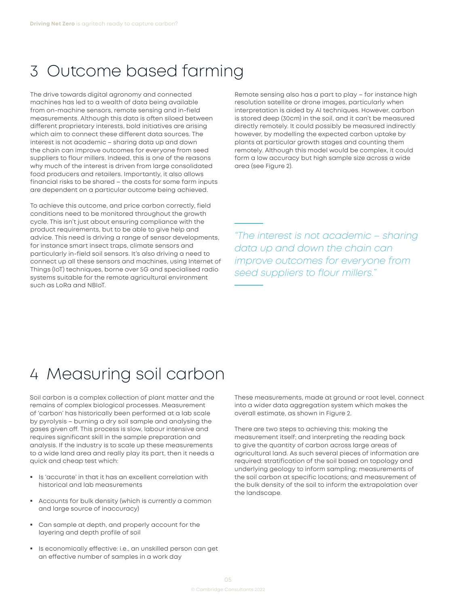## <span id="page-5-0"></span>3 Outcome based farming

The drive towards digital agronomy and connected machines has led to a wealth of data being available from on-machine sensors, remote sensing and in-field measurements. Although this data is often siloed between different proprietary interests, bold initiatives are arising which aim to connect these different data sources. The interest is not academic – sharing data up and down the chain can improve outcomes for everyone from seed suppliers to flour millers. Indeed, this is one of the reasons why much of the interest is driven from large consolidated food producers and retailers. Importantly, it also allows financial risks to be shared – the costs for some farm inputs are dependent on a particular outcome being achieved.

To achieve this outcome, and price carbon correctly, field conditions need to be monitored throughout the growth cycle. This isn't just about ensuring compliance with the product requirements, but to be able to give help and advice. This need is driving a range of sensor developments, for instance smart insect traps, climate sensors and particularly in-field soil sensors. It's also driving a need to connect up all these sensors and machines, using Internet of Things (IoT) techniques, borne over 5G and specialised radio systems suitable for the remote agricultural environment such as LoRa and NBIoT.

Remote sensing also has a part to play – for instance high resolution satellite or drone images, particularly when interpretation is aided by AI techniques. However, carbon is stored deep (30cm) in the soil, and it can't be measured directly remotely. It could possibly be measured indirectly however, by modelling the expected carbon uptake by plants at particular growth stages and counting them remotely. Although this model would be complex, it could form a low accuracy but high sample size across a wide area (see Figure 2).

*"The interest is not academic – sharing data up and down the chain can improve outcomes for everyone from seed suppliers to flour millers."*

## 4 Measuring soil carbon

Soil carbon is a complex collection of plant matter and the remains of complex biological processes. Measurement of 'carbon' has historically been performed at a lab scale by pyrolysis – burning a dry soil sample and analysing the gases given off. This process is slow, labour intensive and requires significant skill in the sample preparation and analysis. If the industry is to scale up these measurements to a wide land area and really play its part, then it needs a quick and cheap test which:

- Is 'accurate' in that it has an excellent correlation with historical and lab measurements
- Accounts for bulk density (which is currently a common and large source of inaccuracy)
- Can sample at depth, and properly account for the layering and depth profile of soil
- **IS economically effective: i.e., an unskilled person can get** an effective number of samples in a work day

These measurements, made at ground or root level, connect into a wider data aggregation system which makes the overall estimate, as shown in Figure 2.

There are two steps to achieving this: making the measurement itself; and interpreting the reading back to give the quantity of carbon across large areas of agricultural land. As such several pieces of information are required: stratification of the soil based on topology and underlying geology to inform sampling; measurements of the soil carbon at specific locations; and measurement of the bulk density of the soil to inform the extrapolation over the landscape.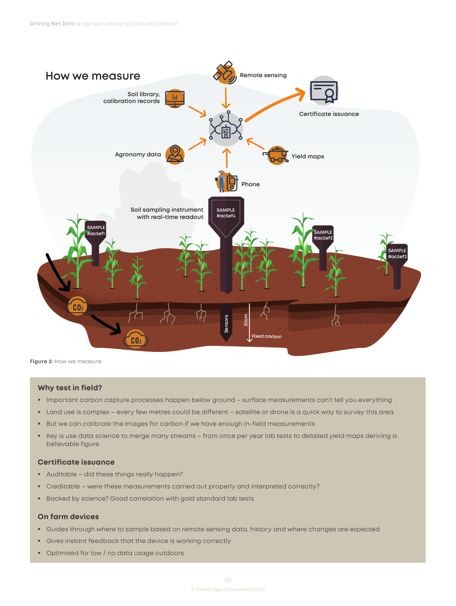<span id="page-6-0"></span>

**Figure 2**: How we measure

#### **Why test in field?**

- Important carbon capture processes happen below ground surface measurements can't tell you everything
- Land use is complex every few metres could be different satellite or drone is a quick way to survey this area
- **But we can** *calibrate* the images for carbon if we have enough in-field measurements
- Key is use data science to merge many streams from once per year lab tests to detailed yield maps deriving a believable figure

### **Certificate issuance**

- Auditable did these things really happen?
- Creditable were these measurements carried out properly and interpreted correctly?
- Backed by science? Good correlation with gold standard lab tests

### **On farm devices**

- Guides through where to sample based on remote sensing data, history and where changes are expected
- Gives instant feedback that the device is working correctly
- **Optimised for low / no data usage outdoors**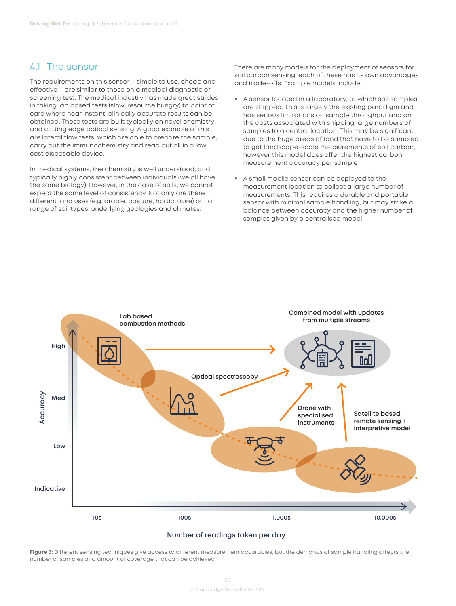### <span id="page-7-0"></span>4.1 The sensor

The requirements on this sensor – simple to use, cheap and effective – are similar to those on a medical diagnostic or screening test. The medical industry has made great strides in taking lab based tests (slow, resource hungry) to point of care where near instant, clinically accurate results can be obtained. These tests are built typically on novel chemistry and cutting edge optical sensing. A good example of this are lateral flow tests, which are able to prepare the sample, carry out the immunochemistry and read out all in a low cost disposable device.

In medical systems, the chemistry is well understood, and typically highly consistent between individuals (we all have the same biology). However, in the case of soils, we cannot expect the same level of consistency. Not only are there different land uses (e.g. arable, pasture, horticulture) but a range of soil types, underlying geologies and climates.

There are many models for the deployment of sensors for soil carbon sensing, each of these has its own advantages and trade-offs. Example models include:

- A sensor located in a laboratory, to which soil samples are shipped. This is largely the existing paradigm and has serious limitations on sample throughput and on the costs associated with shipping large numbers of samples to a central location. This may be significant due to the huge areas of land that have to be sampled to get landscape-scale measurements of soil carbon, however this model does offer the highest carbon measurement accuracy per sample
- A small mobile sensor can be deployed to the measurement location to collect a large number of measurements. This requires a durable and portable sensor with minimal sample handling, but may strike a balance between accuracy and the higher number of samples given by a centralised model



#### **Number of readings taken per day**

**Figure 3**: Different sensing techniques give access to different measurement accuracies, but the demands of sample handling affects the number of samples and amount of coverage that can be achieved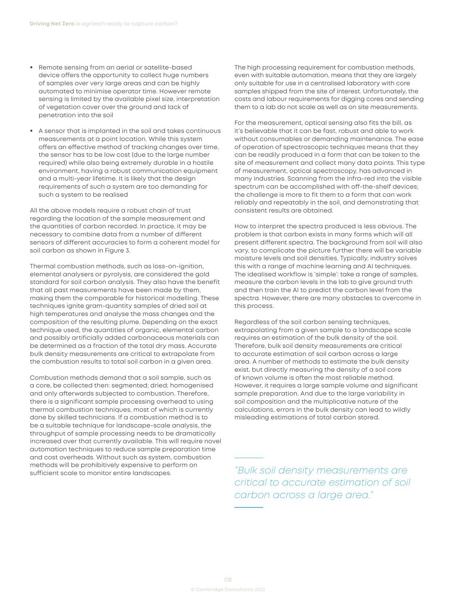- Remote sensing from an aerial or satellite-based device offers the opportunity to collect huge numbers of samples over very large areas and can be highly automated to minimise operator time. However remote sensing is limited by the available pixel size, interpretation of vegetation cover over the ground and lack of penetration into the soil
- A sensor that is implanted in the soil and takes continuous measurements at a point location. While this system offers an effective method of tracking changes over time, the sensor has to be low cost (due to the large number required) while also being extremely durable in a hostile environment, having a robust communication equipment and a multi-year lifetime. It is likely that the design requirements of such a system are too demanding for such a system to be realised

All the above models require a robust chain of trust regarding the location of the sample measurement and the quantities of carbon recorded. In practice, it may be necessary to combine data from a number of different sensors of different accuracies to form a coherent model for soil carbon as shown in [Figure 3.](#page-6-0)

Thermal combustion methods, such as loss-on-ignition, elemental analysers or pyrolysis, are considered the gold standard for soil carbon analysis. They also have the benefit that all past measurements have been made by them, making them the comparable for historical modelling. These techniques ignite gram-quantity samples of dried soil at high temperatures and analyse the mass changes and the composition of the resulting plume. Depending on the exact technique used, the quantities of organic, elemental carbon and possibly artificially added carbonaceous materials can be determined as a fraction of the total dry mass. Accurate bulk density measurements are critical to extrapolate from the combustion results to total soil carbon in a given area.

Combustion methods demand that a soil sample, such as a core, be collected then: segmented; dried; homogenised and only afterwards subjected to combustion. Therefore, there is a significant sample processing overhead to using thermal combustion techniques, most of which is currently done by skilled technicians. If a combustion method is to be a suitable technique for landscape-scale analysis, the throughput of sample processing needs to be dramatically increased over that currently available. This will require novel automation techniques to reduce sample preparation time and cost overheads. Without such as system, combustion methods will be prohibitively expensive to perform on sufficient scale to monitor entire landscapes.

The high processing requirement for combustion methods, even with suitable automation, means that they are largely only suitable for use in a centralised laboratory with core samples shipped from the site of interest. Unfortunately, the costs and labour requirements for digging cores and sending them to a lab do not scale as well as on site measurements.

For the measurement, optical sensing also fits the bill, as it's believable that it can be fast, robust and able to work without consumables or demanding maintenance. The ease of operation of spectroscopic techniques means that they can be readily produced in a form that can be taken to the site of measurement and collect many data points. This type of measurement, optical spectroscopy, has advanced in many industries. Scanning from the infra-red into the visible spectrum can be accomplished with off-the-shelf devices; the challenge is more to fit them to a form that can work reliably and repeatably in the soil, and demonstrating that consistent results are obtained.

How to interpret the spectra produced is less obvious. The problem is that carbon exists in many forms which will all present different spectra. The background from soil will also vary, to complicate the picture further there will be variable moisture levels and soil densities. Typically, industry solves this with a range of machine learning and AI techniques. The idealised workflow is 'simple': take a range of samples, measure the carbon levels in the lab to give ground truth and then train the AI to predict the carbon level from the spectra. However, there are many obstacles to overcome in this process.

Regardless of the soil carbon sensing techniques, extrapolating from a given sample to a landscape scale requires an estimation of the bulk density of the soil. Therefore, bulk soil density measurements are critical to accurate estimation of soil carbon across a large area. A number of methods to estimate the bulk density exist, but directly measuring the density of a soil core of known volume is often the most reliable method. However, it requires a large sample volume and significant sample preparation. And due to the large variability in soil composition and the multiplicative nature of the calculations, errors in the bulk density can lead to wildly misleading estimations of total carbon stored.

*"Bulk soil density measurements are critical to accurate estimation of soil carbon across a large area."*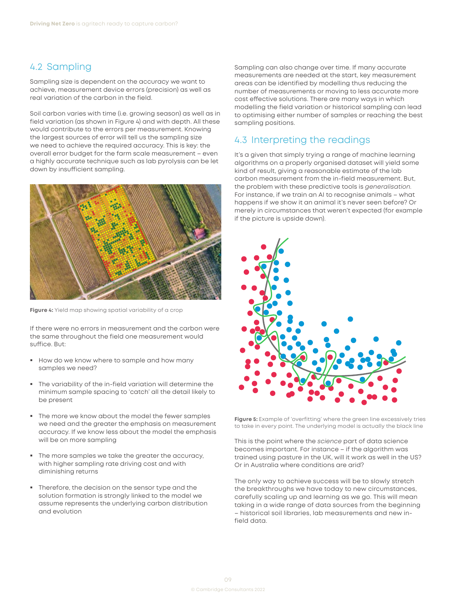### <span id="page-9-0"></span>4.2 Sampling

Sampling size is dependent on the accuracy we want to achieve, measurement device errors (precision) as well as real variation of the carbon in the field.

Soil carbon varies with time (i.e. growing season) as well as in field variation (as shown in Figure 4) and with depth. All these would contribute to the errors per measurement. Knowing the largest sources of error will tell us the sampling size we need to achieve the required accuracy. This is key: the overall error budget for the farm scale measurement – even a highly accurate technique such as lab pyrolysis can be let down by insufficient sampling.



**Figure 4:** Yield map showing spatial variability of a crop

If there were no errors in measurement and the carbon were the same throughout the field one measurement would suffice. But:

- How do we know where to sample and how many samples we need?
- The variability of the in-field variation will determine the minimum sample spacing to 'catch' all the detail likely to be present
- The more we know about the model the fewer samples we need and the greater the emphasis on measurement accuracy. If we know less about the model the emphasis will be on more sampling
- The more samples we take the greater the accuracy, with higher sampling rate driving cost and with diminishing returns
- Therefore, the decision on the sensor type and the solution formation is strongly linked to the model we assume represents the underlying carbon distribution and evolution

Sampling can also change over time. If many accurate measurements are needed at the start, key measurement areas can be identified by modelling thus reducing the number of measurements or moving to less accurate more cost effective solutions. There are many ways in which modelling the field variation or historical sampling can lead to optimising either number of samples or reaching the best sampling positions.

## 4.3 Interpreting the readings

It's a given that simply trying a range of machine learning algorithms on a properly organised dataset will yield some kind of result, giving a reasonable estimate of the lab carbon measurement from the in-field measurement. But, the problem with these predictive tools is *generalisation.*  For instance, if we train an AI to recognise animals – what happens if we show it an animal it's never seen before? Or merely in circumstances that weren't expected (for example if the picture is upside down).



**Figure 5:** Example of 'overfitting' where the green line excessively tries to take in every point. The underlying model is actually the black line

This is the point where the *science* part of data science becomes important. For instance – if the algorithm was trained using pasture in the UK, will it work as well in the US? Or in Australia where conditions are arid?

The only way to achieve success will be to slowly stretch the breakthroughs we have today to new circumstances, carefully scaling up and learning as we go. This will mean taking in a wide range of data sources from the beginning – historical soil libraries, lab measurements and new infield data.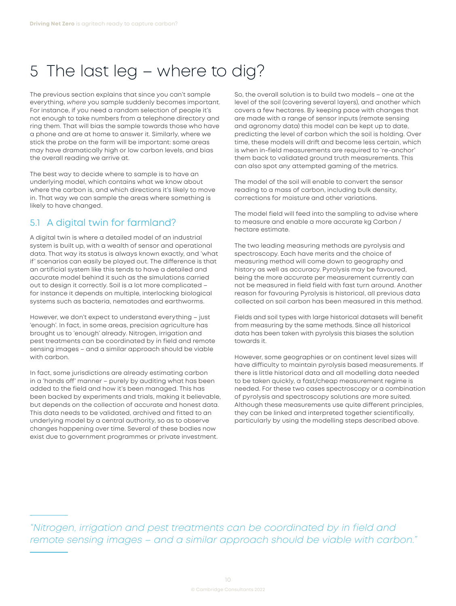# <span id="page-10-0"></span>5 The last leg – where to dig?

The previous section explains that since you can't sample everything, *where* you sample suddenly becomes important. For instance, if you need a random selection of people it's not enough to take numbers from a telephone directory and ring them. That will bias the sample towards those who have a phone and are at home to answer it. Similarly, where we stick the probe on the farm will be important: some areas may have dramatically high or low carbon levels, and bias the overall reading we arrive at.

The best way to decide where to sample is to have an underlying model, which contains what we know about where the carbon is, and which directions it's likely to move in. That way we can sample the areas where something is likely to have changed.

## 5.1 A digital twin for farmland?

A digital twin is where a detailed model of an industrial system is built up, with a wealth of sensor and operational data. That way its status is always known exactly, and 'what if' scenarios can easily be played out. The difference is that an artificial system like this tends to have a detailed and accurate model behind it such as the simulations carried out to design it correctly. Soil is a lot more complicated – for instance it depends on multiple, interlocking biological systems such as bacteria, nematodes and earthworms.

However, we don't expect to understand everything – just 'enough'. In fact, in some areas, precision agriculture has brought us to 'enough' already. Nitrogen, irrigation and pest treatments can be coordinated by in field and remote sensing images – and a similar approach should be viable with carbon.

In fact, some jurisdictions are already estimating carbon in a 'hands off' manner – purely by auditing what has been added to the field and how it's been managed. This has been backed by experiments and trials, making it believable, but depends on the collection of accurate and honest data. This data needs to be validated, archived and fitted to an underlying model by a central authority, so as to observe changes happening over time. Several of these bodies now exist due to government programmes or private investment.

So, the overall solution is to build two models – one at the level of the soil (covering several layers), and another which covers a few hectares. By keeping pace with changes that are made with a range of sensor inputs (remote sensing and agronomy data) this model can be kept up to date, predicting the level of carbon which the soil is holding. Over time, these models will drift and become less certain, which is when in-field measurements are required to 're-anchor' them back to validated ground truth measurements. This can also spot any attempted gaming of the metrics.

The model of the soil will enable to convert the sensor reading to a mass of carbon, including bulk density, corrections for moisture and other variations.

The model field will feed into the sampling to advise where to measure and enable a more accurate kg Carbon / hectare estimate.

The two leading measuring methods are pyrolysis and spectroscopy. Each have merits and the choice of measuring method will come down to geography and history as well as accuracy. Pyrolysis may be favoured, being the more accurate per measurement currently can not be measured in field field with fast turn around. Another reason for favouring Pyrolysis is historical, all previous data collected on soil carbon has been measured in this method.

Fields and soil types with large historical datasets will benefit from measuring by the same methods. Since all historical data has been taken with pyrolysis this biases the solution towards it.

However, some geographies or on continent level sizes will have difficulty to maintain pyrolysis based measurements. If there is little historical data and all modelling data needed to be taken quickly, a fast/cheap measurement regime is needed. For these two cases spectroscopy or a combination of pyrolysis and spectroscopy solutions are more suited. Although these measurements use quite different principles, they can be linked and interpreted together scientifically, particularly by using the modelling steps described above.

*"Nitrogen, irrigation and pest treatments can be coordinated by in field and remote sensing images – and a similar approach should be viable with carbon."*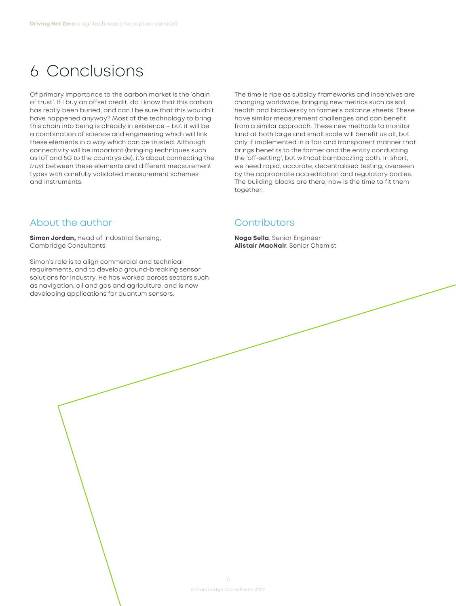## <span id="page-11-0"></span>6 Conclusions

Of primary importance to the carbon market is the 'chain of trust'. If I buy an offset credit, do I know that this carbon has really been buried, and can I be sure that this wouldn't have happened anyway? Most of the technology to bring this chain into being is already in existence – but it will be a combination of science and engineering which will link these elements in a way which can be trusted. Although connectivity will be important (bringing techniques such as IoT and 5G to the countryside), it's about connecting the *trust* between these elements and different measurement types with carefully validated measurement schemes and instruments.

## About the author

**Simon Jordan,** Head of Industrial Sensing, Cambridge Consultants

Simon's role is to align commercial and technical requirements, and to develop ground-breaking sensor solutions for industry. He has worked across sectors such as navigation, oil and gas and agriculture, and is now developing applications for quantum sensors.

The time is ripe as subsidy frameworks and incentives are changing worldwide, bringing new metrics such as soil health and biodiversity to farmer's balance sheets. These have similar measurement challenges and can benefit from a similar approach. These new methods to monitor land at both large and small scale will benefit us all, but only if implemented in a fair and transparent manner that brings benefits to the farmer and the entity conducting the 'off-setting', but without bamboozling both. In short, we need rapid, accurate, decentralised testing, overseen by the appropriate accreditation and regulatory bodies. The building blocks are there; now is the time to fit them together.

### **Contributors**

**Noga Sella**, Senior Engineer **Alistair MacNair**, Senior Chemist